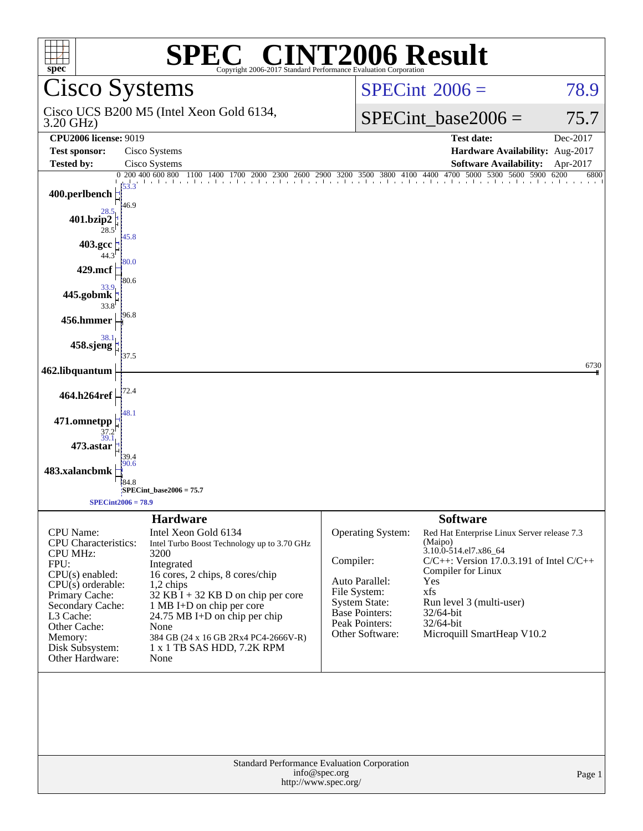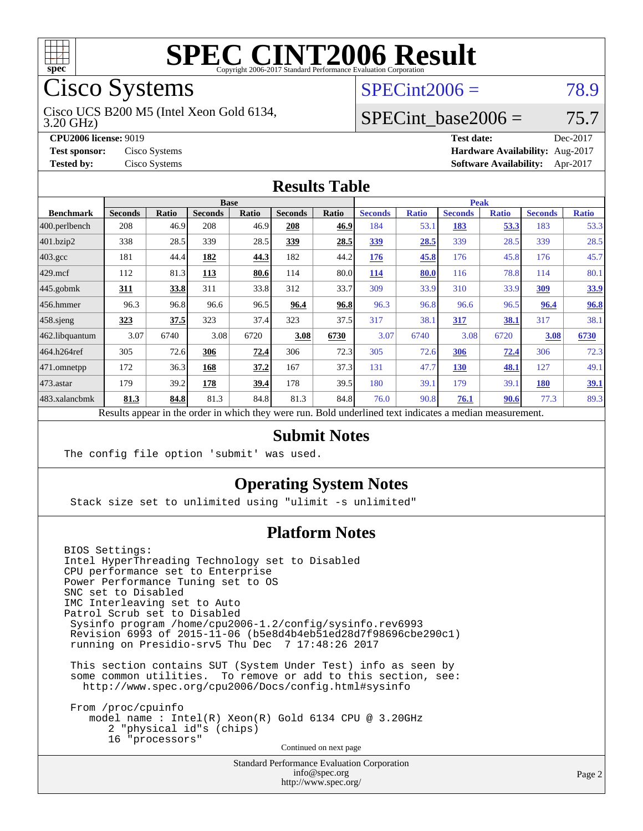

## Cisco Systems

3.20 GHz) Cisco UCS B200 M5 (Intel Xeon Gold 6134,

**[CPU2006 license:](http://www.spec.org/auto/cpu2006/Docs/result-fields.html#CPU2006license)** 9019

**[Test sponsor:](http://www.spec.org/auto/cpu2006/Docs/result-fields.html#Testsponsor)** Cisco Systems

**[Tested by:](http://www.spec.org/auto/cpu2006/Docs/result-fields.html#Testedby)** Cisco Systems

### $SPECint2006 = 78.9$  $SPECint2006 = 78.9$

### SPECint base2006 =  $75.7$

| <b>Test date:</b>               | Dec-2017 |
|---------------------------------|----------|
| Hardware Availability: Aug-2017 |          |
| <b>Software Availability:</b>   | Apr-2017 |

#### **[Results Table](http://www.spec.org/auto/cpu2006/Docs/result-fields.html#ResultsTable)**

|                    | <b>Base</b>    |              |                |       |                | <b>Peak</b> |                |              |                |              |                |              |
|--------------------|----------------|--------------|----------------|-------|----------------|-------------|----------------|--------------|----------------|--------------|----------------|--------------|
| <b>Benchmark</b>   | <b>Seconds</b> | <b>Ratio</b> | <b>Seconds</b> | Ratio | <b>Seconds</b> | Ratio       | <b>Seconds</b> | <b>Ratio</b> | <b>Seconds</b> | <b>Ratio</b> | <b>Seconds</b> | <b>Ratio</b> |
| 400.perlbench      | 208            | 46.9         | 208            | 46.9  | 208            | 46.9        | 184            | 53.1         | 183            | 53.3         | 183            | 53.3         |
| 401.bzip2          | 338            | 28.5         | 339            | 28.5  | 339            | 28.5        | 339            | 28.5         | 339            | 28.5         | 339            | 28.5         |
| $403.\mathrm{gcc}$ | 181            | 44.4         | 182            | 44.3  | 182            | 44.2        | 176            | 45.8         | 176            | 45.8         | 176            | 45.7         |
| $429$ .mcf         | 112            | 81.3         | <u>113</u>     | 80.6  | 114            | 80.0        | <u>114</u>     | 80.0         | 116            | 78.8         | 114            | 80.1         |
| $445$ .gobmk       | <u>311</u>     | 33.8         | 311            | 33.8  | 312            | 33.7        | 309            | 33.9         | 310            | 33.9         | 309            | 33.9         |
| $456.$ hmmer       | 96.3           | 96.8         | 96.6           | 96.5  | 96.4           | 96.8        | 96.3           | 96.8         | 96.6           | 96.5         | 96.4           | <b>96.8</b>  |
| $458$ .sjeng       | <u>323</u>     | 37.5         | 323            | 37.4  | 323            | 37.5        | 317            | 38.1         | 317            | 38.1         | 317            | 38.1         |
| 462.libquantum     | 3.07           | 6740         | 3.08           | 6720  | 3.08           | 6730        | 3.07           | 6740         | 3.08           | 6720         | 3.08           | 6730         |
| 464.h264ref        | 305            | 72.6         | 306            | 72.4  | 306            | 72.3        | 305            | 72.6         | 306            | 72.4         | 306            | 72.3         |
| 471.omnetpp        | 172            | 36.3         | 168            | 37.2  | 167            | 37.3        | 131            | 47.7         | 130            | 48.1         | 127            | 49.1         |
| $473$ . astar      | 179            | 39.2         | 178            | 39.4  | 178            | 39.5        | 180            | 39.1         | 179            | 39.1         | 180            | <u>39.1</u>  |
| 483.xalancbmk      | 81.3           | 84.8         | 81.3           | 84.8  | 81.3           | 84.8        | 76.0           | 90.8         | 76.1           | 90.6         | 77.3           | 89.3         |

Results appear in the [order in which they were run.](http://www.spec.org/auto/cpu2006/Docs/result-fields.html#RunOrder) Bold underlined text [indicates a median measurement.](http://www.spec.org/auto/cpu2006/Docs/result-fields.html#Median)

#### **[Submit Notes](http://www.spec.org/auto/cpu2006/Docs/result-fields.html#SubmitNotes)**

The config file option 'submit' was used.

#### **[Operating System Notes](http://www.spec.org/auto/cpu2006/Docs/result-fields.html#OperatingSystemNotes)**

Stack size set to unlimited using "ulimit -s unlimited"

#### **[Platform Notes](http://www.spec.org/auto/cpu2006/Docs/result-fields.html#PlatformNotes)**

BIOS Settings: Intel HyperThreading Technology set to Disabled CPU performance set to Enterprise Power Performance Tuning set to OS SNC set to Disabled IMC Interleaving set to Auto Patrol Scrub set to Disabled Sysinfo program /home/cpu2006-1.2/config/sysinfo.rev6993 Revision 6993 of 2015-11-06 (b5e8d4b4eb51ed28d7f98696cbe290c1) running on Presidio-srv5 Thu Dec 7 17:48:26 2017

 This section contains SUT (System Under Test) info as seen by some common utilities. To remove or add to this section, see: <http://www.spec.org/cpu2006/Docs/config.html#sysinfo>

 From /proc/cpuinfo model name : Intel(R) Xeon(R) Gold 6134 CPU @ 3.20GHz 2 "physical id"s (chips) 16 "processors" Continued on next page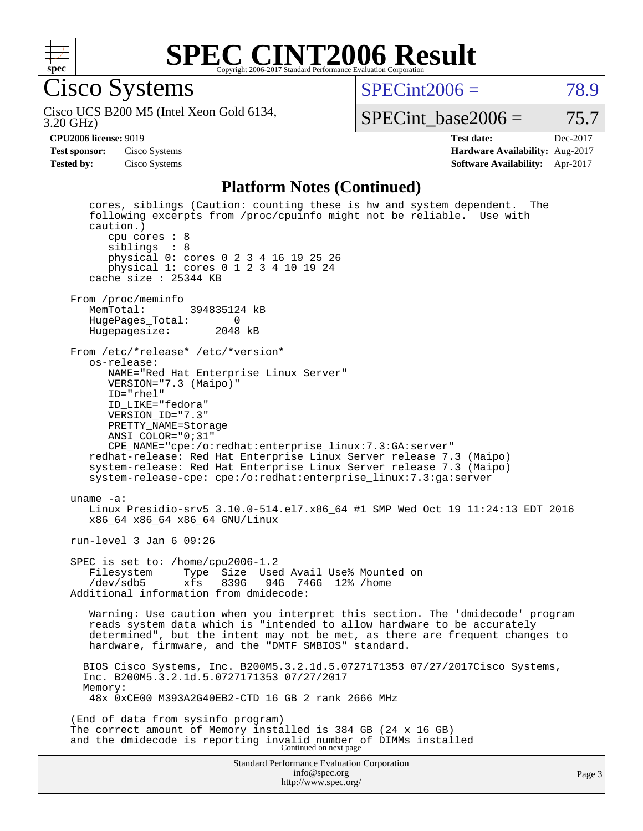

Cisco Systems

 $SPECint2006 = 78.9$  $SPECint2006 = 78.9$ 

3.20 GHz) Cisco UCS B200 M5 (Intel Xeon Gold 6134,

SPECint base2006 =  $75.7$ 

**[CPU2006 license:](http://www.spec.org/auto/cpu2006/Docs/result-fields.html#CPU2006license)** 9019 **[Test date:](http://www.spec.org/auto/cpu2006/Docs/result-fields.html#Testdate)** Dec-2017 **[Test sponsor:](http://www.spec.org/auto/cpu2006/Docs/result-fields.html#Testsponsor)** Cisco Systems **[Hardware Availability:](http://www.spec.org/auto/cpu2006/Docs/result-fields.html#HardwareAvailability)** Aug-2017 **[Tested by:](http://www.spec.org/auto/cpu2006/Docs/result-fields.html#Testedby)** Cisco Systems **[Software Availability:](http://www.spec.org/auto/cpu2006/Docs/result-fields.html#SoftwareAvailability)** Apr-2017

#### **[Platform Notes \(Continued\)](http://www.spec.org/auto/cpu2006/Docs/result-fields.html#PlatformNotes)**

Standard Performance Evaluation Corporation [info@spec.org](mailto:info@spec.org) <http://www.spec.org/> Page 3 cores, siblings (Caution: counting these is hw and system dependent. The following excerpts from /proc/cpuinfo might not be reliable. Use with caution.) cpu cores : 8 siblings : 8 physical 0: cores 0 2 3 4 16 19 25 26 physical 1: cores 0 1 2 3 4 10 19 24 cache size : 25344 KB From /proc/meminfo<br>MemTotal: 394835124 kB HugePages\_Total: 0 Hugepagesize: 2048 kB From /etc/\*release\* /etc/\*version\* os-release: NAME="Red Hat Enterprise Linux Server" VERSION="7.3 (Maipo)" ID="rhel" ID\_LIKE="fedora" VERSION\_ID="7.3" PRETTY\_NAME=Storage ANSI\_COLOR="0;31" CPE\_NAME="cpe:/o:redhat:enterprise\_linux:7.3:GA:server" redhat-release: Red Hat Enterprise Linux Server release 7.3 (Maipo) system-release: Red Hat Enterprise Linux Server release 7.3 (Maipo) system-release-cpe: cpe:/o:redhat:enterprise\_linux:7.3:ga:server uname -a: Linux Presidio-srv5 3.10.0-514.el7.x86\_64 #1 SMP Wed Oct 19 11:24:13 EDT 2016 x86\_64 x86\_64 x86\_64 GNU/Linux run-level 3 Jan 6 09:26 SPEC is set to: /home/cpu2006-1.2 Filesystem Type Size Used Avail Use% Mounted on<br>/dev/sdb5 xfs 839G 94G 746G 12% /home /dev/sdb5 xfs 839G 94G 746G 12% /home Additional information from dmidecode: Warning: Use caution when you interpret this section. The 'dmidecode' program reads system data which is "intended to allow hardware to be accurately determined", but the intent may not be met, as there are frequent changes to hardware, firmware, and the "DMTF SMBIOS" standard. BIOS Cisco Systems, Inc. B200M5.3.2.1d.5.0727171353 07/27/2017Cisco Systems, Inc. B200M5.3.2.1d.5.0727171353 07/27/2017 Memory: 48x 0xCE00 M393A2G40EB2-CTD 16 GB 2 rank 2666 MHz (End of data from sysinfo program) The correct amount of Memory installed is 384 GB (24 x 16 GB) and the dmidecode is reporting invalid number of DIMMs installed Continued on next page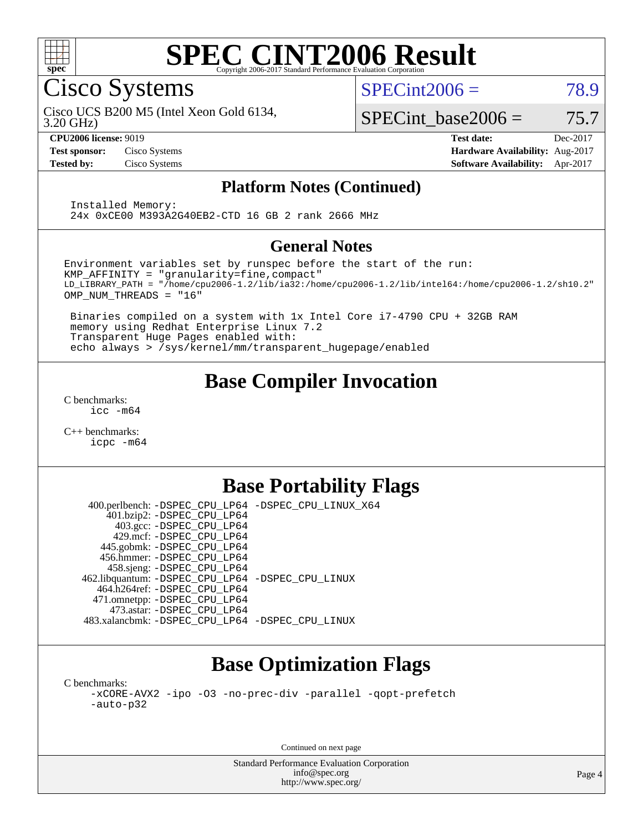

Cisco Systems

 $SPECint2006 = 78.9$  $SPECint2006 = 78.9$ 

Cisco UCS B200 M5 (Intel Xeon Gold 6134,

3.20 GHz)

SPECint base2006 =  $75.7$ 

**[CPU2006 license:](http://www.spec.org/auto/cpu2006/Docs/result-fields.html#CPU2006license)** 9019 **[Test date:](http://www.spec.org/auto/cpu2006/Docs/result-fields.html#Testdate)** Dec-2017 **[Test sponsor:](http://www.spec.org/auto/cpu2006/Docs/result-fields.html#Testsponsor)** Cisco Systems **[Hardware Availability:](http://www.spec.org/auto/cpu2006/Docs/result-fields.html#HardwareAvailability)** Aug-2017 **[Tested by:](http://www.spec.org/auto/cpu2006/Docs/result-fields.html#Testedby)** Cisco Systems **[Software Availability:](http://www.spec.org/auto/cpu2006/Docs/result-fields.html#SoftwareAvailability)** Apr-2017

#### **[Platform Notes \(Continued\)](http://www.spec.org/auto/cpu2006/Docs/result-fields.html#PlatformNotes)**

 Installed Memory: 24x 0xCE00 M393A2G40EB2-CTD 16 GB 2 rank 2666 MHz

#### **[General Notes](http://www.spec.org/auto/cpu2006/Docs/result-fields.html#GeneralNotes)**

Environment variables set by runspec before the start of the run: KMP\_AFFINITY = "granularity=fine,compact" LD\_LIBRARY\_PATH = "/home/cpu2006-1.2/lib/ia32:/home/cpu2006-1.2/lib/intel64:/home/cpu2006-1.2/sh10.2" OMP\_NUM\_THREADS = "16"

 Binaries compiled on a system with 1x Intel Core i7-4790 CPU + 32GB RAM memory using Redhat Enterprise Linux 7.2 Transparent Huge Pages enabled with: echo always > /sys/kernel/mm/transparent\_hugepage/enabled

## **[Base Compiler Invocation](http://www.spec.org/auto/cpu2006/Docs/result-fields.html#BaseCompilerInvocation)**

[C benchmarks](http://www.spec.org/auto/cpu2006/Docs/result-fields.html#Cbenchmarks): [icc -m64](http://www.spec.org/cpu2006/results/res2017q4/cpu2006-20171211-51004.flags.html#user_CCbase_intel_icc_64bit_bda6cc9af1fdbb0edc3795bac97ada53)

[C++ benchmarks:](http://www.spec.org/auto/cpu2006/Docs/result-fields.html#CXXbenchmarks) [icpc -m64](http://www.spec.org/cpu2006/results/res2017q4/cpu2006-20171211-51004.flags.html#user_CXXbase_intel_icpc_64bit_fc66a5337ce925472a5c54ad6a0de310)

## **[Base Portability Flags](http://www.spec.org/auto/cpu2006/Docs/result-fields.html#BasePortabilityFlags)**

 400.perlbench: [-DSPEC\\_CPU\\_LP64](http://www.spec.org/cpu2006/results/res2017q4/cpu2006-20171211-51004.flags.html#b400.perlbench_basePORTABILITY_DSPEC_CPU_LP64) [-DSPEC\\_CPU\\_LINUX\\_X64](http://www.spec.org/cpu2006/results/res2017q4/cpu2006-20171211-51004.flags.html#b400.perlbench_baseCPORTABILITY_DSPEC_CPU_LINUX_X64) 401.bzip2: [-DSPEC\\_CPU\\_LP64](http://www.spec.org/cpu2006/results/res2017q4/cpu2006-20171211-51004.flags.html#suite_basePORTABILITY401_bzip2_DSPEC_CPU_LP64) 403.gcc: [-DSPEC\\_CPU\\_LP64](http://www.spec.org/cpu2006/results/res2017q4/cpu2006-20171211-51004.flags.html#suite_basePORTABILITY403_gcc_DSPEC_CPU_LP64) 429.mcf: [-DSPEC\\_CPU\\_LP64](http://www.spec.org/cpu2006/results/res2017q4/cpu2006-20171211-51004.flags.html#suite_basePORTABILITY429_mcf_DSPEC_CPU_LP64) 445.gobmk: [-DSPEC\\_CPU\\_LP64](http://www.spec.org/cpu2006/results/res2017q4/cpu2006-20171211-51004.flags.html#suite_basePORTABILITY445_gobmk_DSPEC_CPU_LP64) 456.hmmer: [-DSPEC\\_CPU\\_LP64](http://www.spec.org/cpu2006/results/res2017q4/cpu2006-20171211-51004.flags.html#suite_basePORTABILITY456_hmmer_DSPEC_CPU_LP64) 458.sjeng: [-DSPEC\\_CPU\\_LP64](http://www.spec.org/cpu2006/results/res2017q4/cpu2006-20171211-51004.flags.html#suite_basePORTABILITY458_sjeng_DSPEC_CPU_LP64) 462.libquantum: [-DSPEC\\_CPU\\_LP64](http://www.spec.org/cpu2006/results/res2017q4/cpu2006-20171211-51004.flags.html#suite_basePORTABILITY462_libquantum_DSPEC_CPU_LP64) [-DSPEC\\_CPU\\_LINUX](http://www.spec.org/cpu2006/results/res2017q4/cpu2006-20171211-51004.flags.html#b462.libquantum_baseCPORTABILITY_DSPEC_CPU_LINUX) 464.h264ref: [-DSPEC\\_CPU\\_LP64](http://www.spec.org/cpu2006/results/res2017q4/cpu2006-20171211-51004.flags.html#suite_basePORTABILITY464_h264ref_DSPEC_CPU_LP64) 471.omnetpp: [-DSPEC\\_CPU\\_LP64](http://www.spec.org/cpu2006/results/res2017q4/cpu2006-20171211-51004.flags.html#suite_basePORTABILITY471_omnetpp_DSPEC_CPU_LP64) 473.astar: [-DSPEC\\_CPU\\_LP64](http://www.spec.org/cpu2006/results/res2017q4/cpu2006-20171211-51004.flags.html#suite_basePORTABILITY473_astar_DSPEC_CPU_LP64) 483.xalancbmk: [-DSPEC\\_CPU\\_LP64](http://www.spec.org/cpu2006/results/res2017q4/cpu2006-20171211-51004.flags.html#suite_basePORTABILITY483_xalancbmk_DSPEC_CPU_LP64) [-DSPEC\\_CPU\\_LINUX](http://www.spec.org/cpu2006/results/res2017q4/cpu2006-20171211-51004.flags.html#b483.xalancbmk_baseCXXPORTABILITY_DSPEC_CPU_LINUX)

## **[Base Optimization Flags](http://www.spec.org/auto/cpu2006/Docs/result-fields.html#BaseOptimizationFlags)**

[C benchmarks](http://www.spec.org/auto/cpu2006/Docs/result-fields.html#Cbenchmarks): [-xCORE-AVX2](http://www.spec.org/cpu2006/results/res2017q4/cpu2006-20171211-51004.flags.html#user_CCbase_f-xCORE-AVX2) [-ipo](http://www.spec.org/cpu2006/results/res2017q4/cpu2006-20171211-51004.flags.html#user_CCbase_f-ipo) [-O3](http://www.spec.org/cpu2006/results/res2017q4/cpu2006-20171211-51004.flags.html#user_CCbase_f-O3) [-no-prec-div](http://www.spec.org/cpu2006/results/res2017q4/cpu2006-20171211-51004.flags.html#user_CCbase_f-no-prec-div) [-parallel](http://www.spec.org/cpu2006/results/res2017q4/cpu2006-20171211-51004.flags.html#user_CCbase_f-parallel) [-qopt-prefetch](http://www.spec.org/cpu2006/results/res2017q4/cpu2006-20171211-51004.flags.html#user_CCbase_f-qopt-prefetch) [-auto-p32](http://www.spec.org/cpu2006/results/res2017q4/cpu2006-20171211-51004.flags.html#user_CCbase_f-auto-p32)

Continued on next page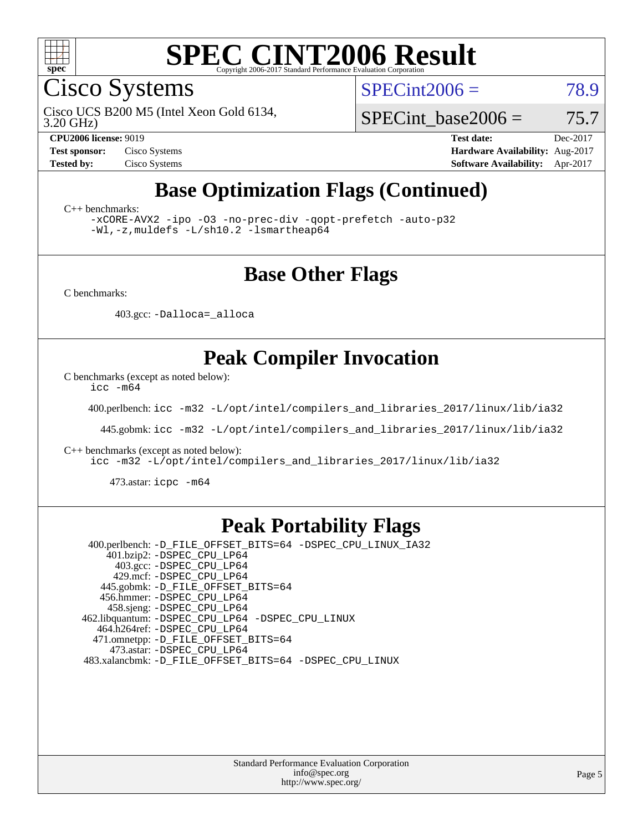

Cisco Systems

 $SPECint2006 = 78.9$  $SPECint2006 = 78.9$ 

3.20 GHz) Cisco UCS B200 M5 (Intel Xeon Gold 6134,

SPECint base2006 =  $75.7$ 

**[CPU2006 license:](http://www.spec.org/auto/cpu2006/Docs/result-fields.html#CPU2006license)** 9019 **[Test date:](http://www.spec.org/auto/cpu2006/Docs/result-fields.html#Testdate)** Dec-2017 **[Test sponsor:](http://www.spec.org/auto/cpu2006/Docs/result-fields.html#Testsponsor)** Cisco Systems **[Hardware Availability:](http://www.spec.org/auto/cpu2006/Docs/result-fields.html#HardwareAvailability)** Aug-2017 **[Tested by:](http://www.spec.org/auto/cpu2006/Docs/result-fields.html#Testedby)** Cisco Systems **[Software Availability:](http://www.spec.org/auto/cpu2006/Docs/result-fields.html#SoftwareAvailability)** Apr-2017

## **[Base Optimization Flags \(Continued\)](http://www.spec.org/auto/cpu2006/Docs/result-fields.html#BaseOptimizationFlags)**

[C++ benchmarks:](http://www.spec.org/auto/cpu2006/Docs/result-fields.html#CXXbenchmarks)

[-xCORE-AVX2](http://www.spec.org/cpu2006/results/res2017q4/cpu2006-20171211-51004.flags.html#user_CXXbase_f-xCORE-AVX2) [-ipo](http://www.spec.org/cpu2006/results/res2017q4/cpu2006-20171211-51004.flags.html#user_CXXbase_f-ipo) [-O3](http://www.spec.org/cpu2006/results/res2017q4/cpu2006-20171211-51004.flags.html#user_CXXbase_f-O3) [-no-prec-div](http://www.spec.org/cpu2006/results/res2017q4/cpu2006-20171211-51004.flags.html#user_CXXbase_f-no-prec-div) [-qopt-prefetch](http://www.spec.org/cpu2006/results/res2017q4/cpu2006-20171211-51004.flags.html#user_CXXbase_f-qopt-prefetch) [-auto-p32](http://www.spec.org/cpu2006/results/res2017q4/cpu2006-20171211-51004.flags.html#user_CXXbase_f-auto-p32) [-Wl,-z,muldefs](http://www.spec.org/cpu2006/results/res2017q4/cpu2006-20171211-51004.flags.html#user_CXXbase_link_force_multiple1_74079c344b956b9658436fd1b6dd3a8a) [-L/sh10.2 -lsmartheap64](http://www.spec.org/cpu2006/results/res2017q4/cpu2006-20171211-51004.flags.html#user_CXXbase_SmartHeap64_63911d860fc08c15fa1d5bf319b9d8d5)

#### **[Base Other Flags](http://www.spec.org/auto/cpu2006/Docs/result-fields.html#BaseOtherFlags)**

[C benchmarks](http://www.spec.org/auto/cpu2006/Docs/result-fields.html#Cbenchmarks):

403.gcc: [-Dalloca=\\_alloca](http://www.spec.org/cpu2006/results/res2017q4/cpu2006-20171211-51004.flags.html#b403.gcc_baseEXTRA_CFLAGS_Dalloca_be3056838c12de2578596ca5467af7f3)

### **[Peak Compiler Invocation](http://www.spec.org/auto/cpu2006/Docs/result-fields.html#PeakCompilerInvocation)**

[C benchmarks \(except as noted below\)](http://www.spec.org/auto/cpu2006/Docs/result-fields.html#Cbenchmarksexceptasnotedbelow):

[icc -m64](http://www.spec.org/cpu2006/results/res2017q4/cpu2006-20171211-51004.flags.html#user_CCpeak_intel_icc_64bit_bda6cc9af1fdbb0edc3795bac97ada53)

400.perlbench: [icc -m32 -L/opt/intel/compilers\\_and\\_libraries\\_2017/linux/lib/ia32](http://www.spec.org/cpu2006/results/res2017q4/cpu2006-20171211-51004.flags.html#user_peakCCLD400_perlbench_intel_icc_c29f3ff5a7ed067b11e4ec10a03f03ae)

445.gobmk: [icc -m32 -L/opt/intel/compilers\\_and\\_libraries\\_2017/linux/lib/ia32](http://www.spec.org/cpu2006/results/res2017q4/cpu2006-20171211-51004.flags.html#user_peakCCLD445_gobmk_intel_icc_c29f3ff5a7ed067b11e4ec10a03f03ae)

[C++ benchmarks \(except as noted below\):](http://www.spec.org/auto/cpu2006/Docs/result-fields.html#CXXbenchmarksexceptasnotedbelow)

[icc -m32 -L/opt/intel/compilers\\_and\\_libraries\\_2017/linux/lib/ia32](http://www.spec.org/cpu2006/results/res2017q4/cpu2006-20171211-51004.flags.html#user_CXXpeak_intel_icc_c29f3ff5a7ed067b11e4ec10a03f03ae)

473.astar: [icpc -m64](http://www.spec.org/cpu2006/results/res2017q4/cpu2006-20171211-51004.flags.html#user_peakCXXLD473_astar_intel_icpc_64bit_fc66a5337ce925472a5c54ad6a0de310)

#### **[Peak Portability Flags](http://www.spec.org/auto/cpu2006/Docs/result-fields.html#PeakPortabilityFlags)**

 400.perlbench: [-D\\_FILE\\_OFFSET\\_BITS=64](http://www.spec.org/cpu2006/results/res2017q4/cpu2006-20171211-51004.flags.html#user_peakPORTABILITY400_perlbench_file_offset_bits_64_438cf9856305ebd76870a2c6dc2689ab) [-DSPEC\\_CPU\\_LINUX\\_IA32](http://www.spec.org/cpu2006/results/res2017q4/cpu2006-20171211-51004.flags.html#b400.perlbench_peakCPORTABILITY_DSPEC_CPU_LINUX_IA32) 401.bzip2: [-DSPEC\\_CPU\\_LP64](http://www.spec.org/cpu2006/results/res2017q4/cpu2006-20171211-51004.flags.html#suite_peakPORTABILITY401_bzip2_DSPEC_CPU_LP64) 403.gcc: [-DSPEC\\_CPU\\_LP64](http://www.spec.org/cpu2006/results/res2017q4/cpu2006-20171211-51004.flags.html#suite_peakPORTABILITY403_gcc_DSPEC_CPU_LP64) 429.mcf: [-DSPEC\\_CPU\\_LP64](http://www.spec.org/cpu2006/results/res2017q4/cpu2006-20171211-51004.flags.html#suite_peakPORTABILITY429_mcf_DSPEC_CPU_LP64) 445.gobmk: [-D\\_FILE\\_OFFSET\\_BITS=64](http://www.spec.org/cpu2006/results/res2017q4/cpu2006-20171211-51004.flags.html#user_peakPORTABILITY445_gobmk_file_offset_bits_64_438cf9856305ebd76870a2c6dc2689ab) 456.hmmer: [-DSPEC\\_CPU\\_LP64](http://www.spec.org/cpu2006/results/res2017q4/cpu2006-20171211-51004.flags.html#suite_peakPORTABILITY456_hmmer_DSPEC_CPU_LP64) 458.sjeng: [-DSPEC\\_CPU\\_LP64](http://www.spec.org/cpu2006/results/res2017q4/cpu2006-20171211-51004.flags.html#suite_peakPORTABILITY458_sjeng_DSPEC_CPU_LP64) 462.libquantum: [-DSPEC\\_CPU\\_LP64](http://www.spec.org/cpu2006/results/res2017q4/cpu2006-20171211-51004.flags.html#suite_peakPORTABILITY462_libquantum_DSPEC_CPU_LP64) [-DSPEC\\_CPU\\_LINUX](http://www.spec.org/cpu2006/results/res2017q4/cpu2006-20171211-51004.flags.html#b462.libquantum_peakCPORTABILITY_DSPEC_CPU_LINUX) 464.h264ref: [-DSPEC\\_CPU\\_LP64](http://www.spec.org/cpu2006/results/res2017q4/cpu2006-20171211-51004.flags.html#suite_peakPORTABILITY464_h264ref_DSPEC_CPU_LP64) 471.omnetpp: [-D\\_FILE\\_OFFSET\\_BITS=64](http://www.spec.org/cpu2006/results/res2017q4/cpu2006-20171211-51004.flags.html#user_peakPORTABILITY471_omnetpp_file_offset_bits_64_438cf9856305ebd76870a2c6dc2689ab) 473.astar: [-DSPEC\\_CPU\\_LP64](http://www.spec.org/cpu2006/results/res2017q4/cpu2006-20171211-51004.flags.html#suite_peakPORTABILITY473_astar_DSPEC_CPU_LP64) 483.xalancbmk: [-D\\_FILE\\_OFFSET\\_BITS=64](http://www.spec.org/cpu2006/results/res2017q4/cpu2006-20171211-51004.flags.html#user_peakPORTABILITY483_xalancbmk_file_offset_bits_64_438cf9856305ebd76870a2c6dc2689ab) [-DSPEC\\_CPU\\_LINUX](http://www.spec.org/cpu2006/results/res2017q4/cpu2006-20171211-51004.flags.html#b483.xalancbmk_peakCXXPORTABILITY_DSPEC_CPU_LINUX)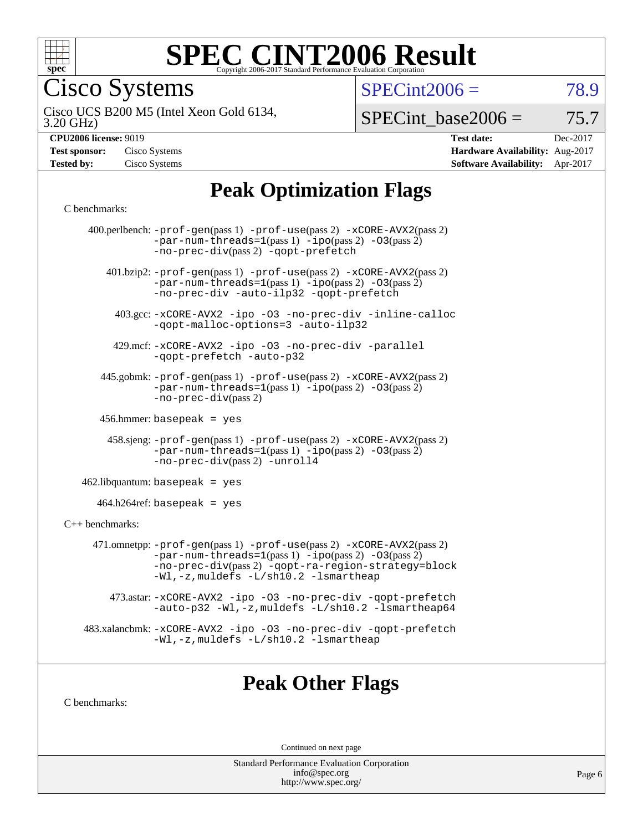

Cisco Systems

 $SPECint2006 = 78.9$  $SPECint2006 = 78.9$ 

3.20 GHz) Cisco UCS B200 M5 (Intel Xeon Gold 6134,

 $SPECTnt\_base2006 = 75.7$ 

| <b>Test sponsor:</b> | Cisco Systems |
|----------------------|---------------|
| <b>Tested by:</b>    | Cisco Systems |

**[CPU2006 license:](http://www.spec.org/auto/cpu2006/Docs/result-fields.html#CPU2006license)** 9019 **[Test date:](http://www.spec.org/auto/cpu2006/Docs/result-fields.html#Testdate)** Dec-2017 **[Hardware Availability:](http://www.spec.org/auto/cpu2006/Docs/result-fields.html#HardwareAvailability)** Aug-2017 **[Software Availability:](http://www.spec.org/auto/cpu2006/Docs/result-fields.html#SoftwareAvailability)** Apr-2017

## **[Peak Optimization Flags](http://www.spec.org/auto/cpu2006/Docs/result-fields.html#PeakOptimizationFlags)**

#### [C benchmarks](http://www.spec.org/auto/cpu2006/Docs/result-fields.html#Cbenchmarks):

|                   | 400.perlbench: -prof-gen(pass 1) -prof-use(pass 2) -xCORE-AVX2(pass 2)<br>$-par-num-threads=1(pass 1) -ipo(pass 2) -03(pass 2)$<br>-no-prec-div(pass 2) -qopt-prefetch                                                        |
|-------------------|-------------------------------------------------------------------------------------------------------------------------------------------------------------------------------------------------------------------------------|
|                   | 401.bzip2: -prof-gen(pass 1) -prof-use(pass 2) -xCORE-AVX2(pass 2)<br>$-par-num-threads=1(pass 1) -ipo(pass 2) -03(pass 2)$<br>-no-prec-div -auto-ilp32 -qopt-prefetch                                                        |
|                   | 403.gcc: -xCORE-AVX2 -ipo -03 -no-prec-div -inline-calloc<br>-qopt-malloc-options=3 -auto-ilp32                                                                                                                               |
|                   | 429.mcf: -xCORE-AVX2 -ipo -03 -no-prec-div -parallel<br>-gopt-prefetch -auto-p32                                                                                                                                              |
|                   | 445.gobmk: -prof-gen(pass 1) -prof-use(pass 2) -xCORE-AVX2(pass 2)<br>$-par-num-threads=1(pass 1) -ipo(pass 2) -03(pass 2)$<br>$-no-prec-div(pass 2)$                                                                         |
|                   | $456.$ hmmer: basepeak = yes                                                                                                                                                                                                  |
|                   | $458 \text{.}$ sjeng: $-\text{prof-gen(pass 1)} - \text{prof-use(pass 2)} - \text{xCORE-AVX2(pass 2)}$<br>$-par-num-threads=1(pass 1) -ipo(pass 2) -03(pass 2)$<br>-no-prec-div(pass 2) -unroll4                              |
|                   | $462$ .libquantum: basepeak = yes                                                                                                                                                                                             |
|                   | $464.h264$ ref: basepeak = yes                                                                                                                                                                                                |
| $C++$ benchmarks: |                                                                                                                                                                                                                               |
|                   | 471.omnetpp: -prof-gen(pass 1) -prof-use(pass 2) -xCORE-AVX2(pass 2)<br>$-par-num-threads=1(pass 1) -ipo(pass 2) -03(pass 2)$<br>-no-prec-div(pass 2) -qopt-ra-region-strategy=block<br>-Wl,-z, muldefs -L/sh10.2 -lsmartheap |
|                   | 473.astar: -xCORE-AVX2 -ipo -03 -no-prec-div -qopt-prefetch<br>-auto-p32 -Wl,-z, muldefs -L/sh10.2 -lsmartheap64                                                                                                              |
|                   | 483.xalancbmk: -xCORE-AVX2 -ipo -03 -no-prec-div -qopt-prefetch<br>-Wl,-z, muldefs -L/sh10.2 -lsmartheap                                                                                                                      |
|                   |                                                                                                                                                                                                                               |

### **[Peak Other Flags](http://www.spec.org/auto/cpu2006/Docs/result-fields.html#PeakOtherFlags)**

[C benchmarks](http://www.spec.org/auto/cpu2006/Docs/result-fields.html#Cbenchmarks):

Continued on next page